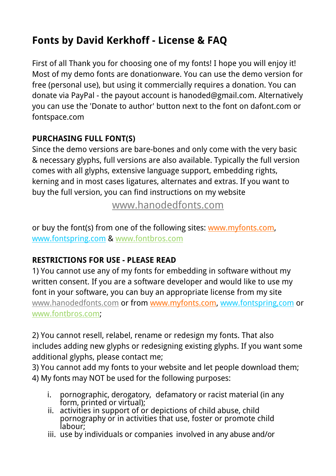## **Fonts by David Kerkhoff - License & FAQ**

First of all Thank you for choosing one of my fonts! I hope you will enjoy it! Most of my demo fonts are donationware. You can use the demo version for free (personal use), but using it commercially requires a donation. You can donate via PayPal - the payout account is hanoded@gmail.com. Alternatively you can use the 'Donate to author' button next to the font on dafont.com or fontspace.com

## **PURCHASING FULL FONT(S)**

Since the demo versions are bare-bones and only come with the very basic & necessary glyphs, full versions are also available. Typically the full version comes with all glyphs, extensive language support, embedding rights, kerning and in most cases ligatures, alternates and extras. If you want to buy the full version, you can find instructions on my website

[www.hanodedfonts.com](http://www.hanodedfonts.com)

or buy the font(s) from one of the following sites: [www.myfonts.com](http://www.myfonts.com/search/hanoded/fonts/?refby=david_kerkhoff), [www.fontspring.com](http://www.fontspring.com/foundry/hanoded) & [www.fontbros.com](http://www.fontbros.com/foundries/hanoded)

## **RESTRICTIONS FOR USE - PLEASE READ**

1) You cannot use any of my fonts for embedding in software without my written consent. If you are a software developer and would like to use my font in your software, you can buy an appropriate license from my site [www.hanodedfonts.com](http://www.hanodedfonts.com) or from [www.myfonts.com](http://www.myfonts.com/search/hanoded/fonts/?refby=david_kerkhoff), [www.fontspring,com](http://www.fontspring.com/foundry/hanoded) or [www.fontbros.com;](http://www.fontbros.com/foundries/hanoded)

2) You cannot resell, relabel, rename or redesign my fonts. That also includes adding new glyphs or redesigning existing glyphs. If you want some additional glyphs, please contact me;

3) You cannot add my fonts to your website and let people download them; 4) My fonts may NOT be used for the following purposes:

- i. pornographic, derogatory, defamatory or racist material (in any form, printed or virtual);
- $ii.$  activities in support of or depictions of child abuse, child pornography or in activities that use, foster or promote child labour;
- iii. use by individuals or companies involved in any abuse and/or